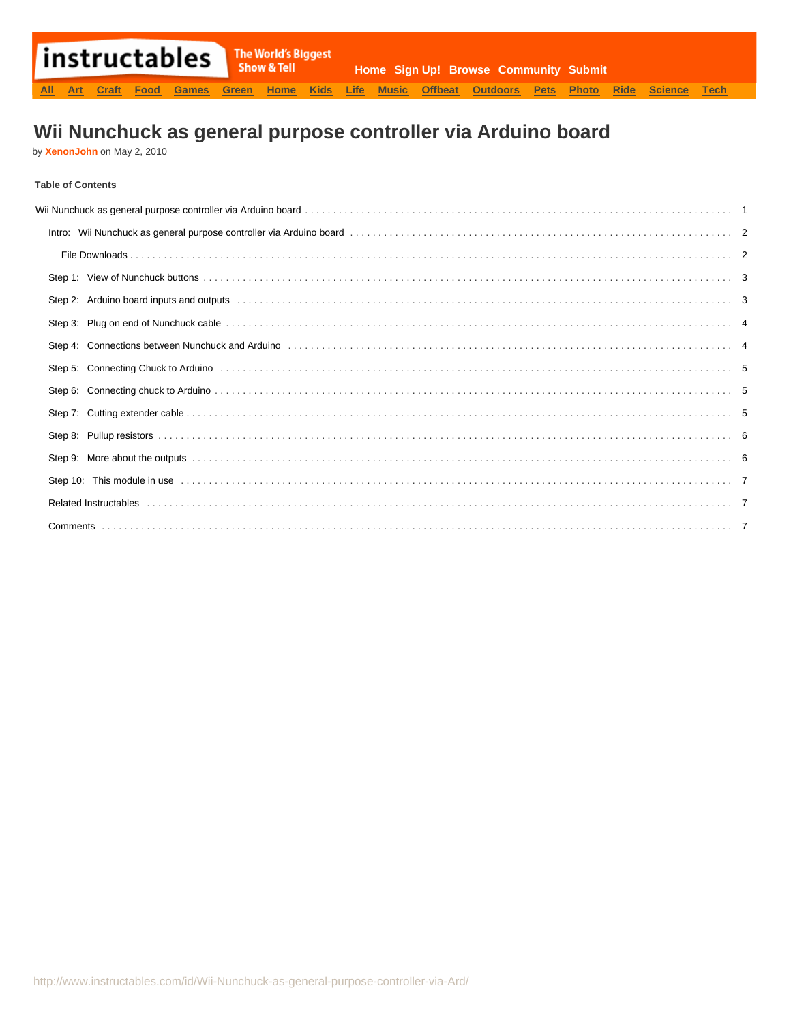# **Wii Nunchuck as general purpose controller via Arduino board**

by **[XenonJohn](http://www.instructables.com/member/XenonJohn/?utm_source=pdf&utm_campaign=title)** on May 2, 2010

### **Table of Contents**

| Step 2: Arduino board inputs and outputs entertainment contained and the contained and the state of the state of the state of the state of the state of the state of the state of the state of the state of the state of the s |  |
|--------------------------------------------------------------------------------------------------------------------------------------------------------------------------------------------------------------------------------|--|
|                                                                                                                                                                                                                                |  |
| Step 4: Connections between Nunchuck and Arduino (1990) (1990) (1990) (1990) (1990) (1990) (1990) (1990) (1990)                                                                                                                |  |
| Step 5: Connecting Chuck to Arduino (all contained as a series and contained as a series of the series of the s                                                                                                                |  |
|                                                                                                                                                                                                                                |  |
|                                                                                                                                                                                                                                |  |
|                                                                                                                                                                                                                                |  |
|                                                                                                                                                                                                                                |  |
|                                                                                                                                                                                                                                |  |
|                                                                                                                                                                                                                                |  |
|                                                                                                                                                                                                                                |  |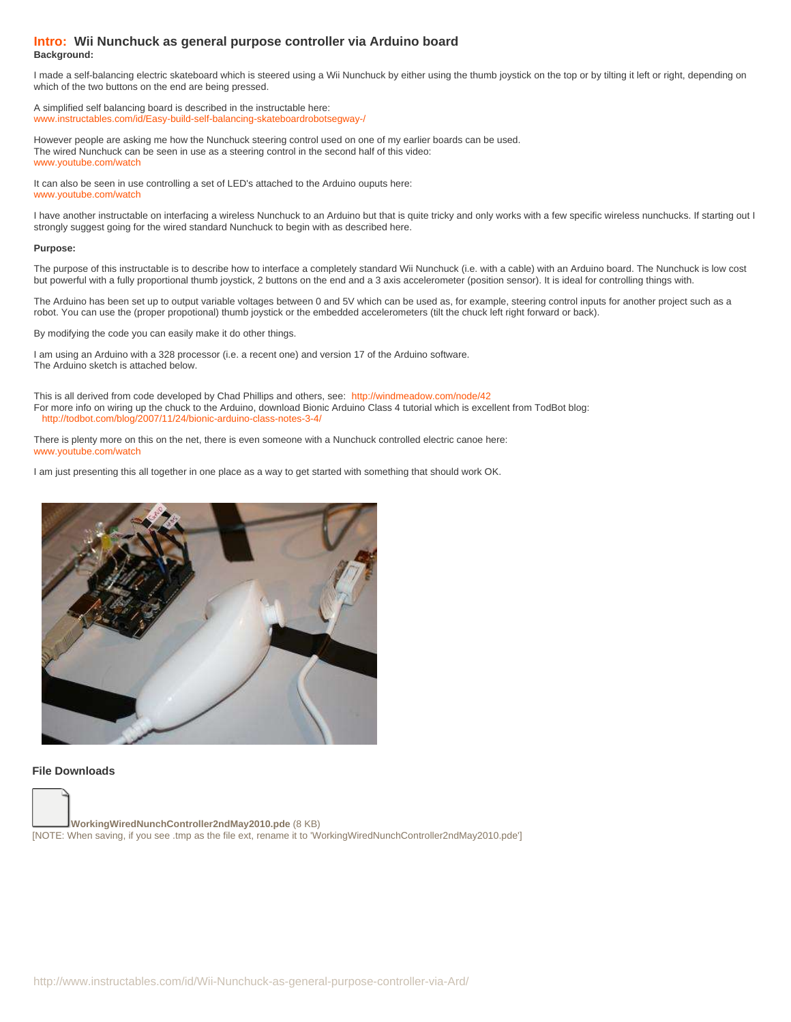#### <span id="page-1-0"></span>**Intro: Wii Nunchuck as general purpose controller via Arduino board Background:**

I made a self-balancing electric skateboard which is steered using a Wii Nunchuck by either using the thumb joystick on the top or by tilting it left or right, depending on which of the two buttons on the end are being pressed.

A simplified self balancing board is described in the instructable here: [www.instructables.com/id/Easy-build-self-balancing-skateboardrobotsegway-/](http://www.instructables.com/id/Easy-build-self-balancing-skateboardrobotsegway-/)

However people are asking me how the Nunchuck steering control used on one of my earlier boards can be used. The wired Nunchuck can be seen in use as a steering control in the second half of this video: [www.youtube.com/watch](http://www.youtube.com/watch?v=7UKxuVliaIA)

It can also be seen in use controlling a set of LED's attached to the Arduino ouputs here: [www.youtube.com/watch](http://www.youtube.com/watch?v=P0CIpNF5MKU&feature=channel)

I have another instructable on interfacing a wireless Nunchuck to an Arduino but that is quite tricky and only works with a few specific wireless nunchucks. If starting out I strongly suggest going for the wired standard Nunchuck to begin with as described here.

#### **Purpose:**

The purpose of this instructable is to describe how to interface a completely standard Wii Nunchuck (i.e. with a cable) with an Arduino board. The Nunchuck is low cost but powerful with a fully proportional thumb joystick, 2 buttons on the end and a 3 axis accelerometer (position sensor). It is ideal for controlling things with.

The Arduino has been set up to output variable voltages between 0 and 5V which can be used as, for example, steering control inputs for another project such as a robot. You can use the (proper propotional) thumb joystick or the embedded accelerometers (tilt the chuck left right forward or back).

By modifying the code you can easily make it do other things.

I am using an Arduino with a 328 processor (i.e. a recent one) and version 17 of the Arduino software. The Arduino sketch is attached below.

This is all derived from code developed by Chad Phillips and others, see: <http://windmeadow.com/node/42> For more info on wiring up the chuck to the Arduino, download Bionic Arduino Class 4 tutorial which is excellent from TodBot blog: <http://todbot.com/blog/2007/11/24/bionic-arduino-class-notes-3-4/>

There is plenty more on this on the net, there is even someone with a Nunchuck controlled electric canoe here: [www.youtube.com/watch](http://www.youtube.com/watch?v=viX6kC9C0Yc)

I am just presenting this all together in one place as a way to get started with something that should work OK.



#### **File Downloads**

**[WorkingWiredNunchController2ndMay2010.pde](http://www.instructables.com/files/orig/FQM/OY8B/G8LWOSNX/FQMOY8BG8LWOSNX.tmp?utm_source=pdf&utm_campaign=files)** [\(8 KB\)](http://www.instructables.com/files/orig/FQM/OY8B/G8LWOSNX/FQMOY8BG8LWOSNX.tmp?utm_source=pdf&utm_campaign=files) [\[NOTE: When saving, if you see .tmp as the file ext, rename it to 'WorkingWiredNunchController2ndMay2010.pde'\]](http://www.instructables.com/files/orig/FQM/OY8B/G8LWOSNX/FQMOY8BG8LWOSNX.tmp?utm_source=pdf&utm_campaign=files)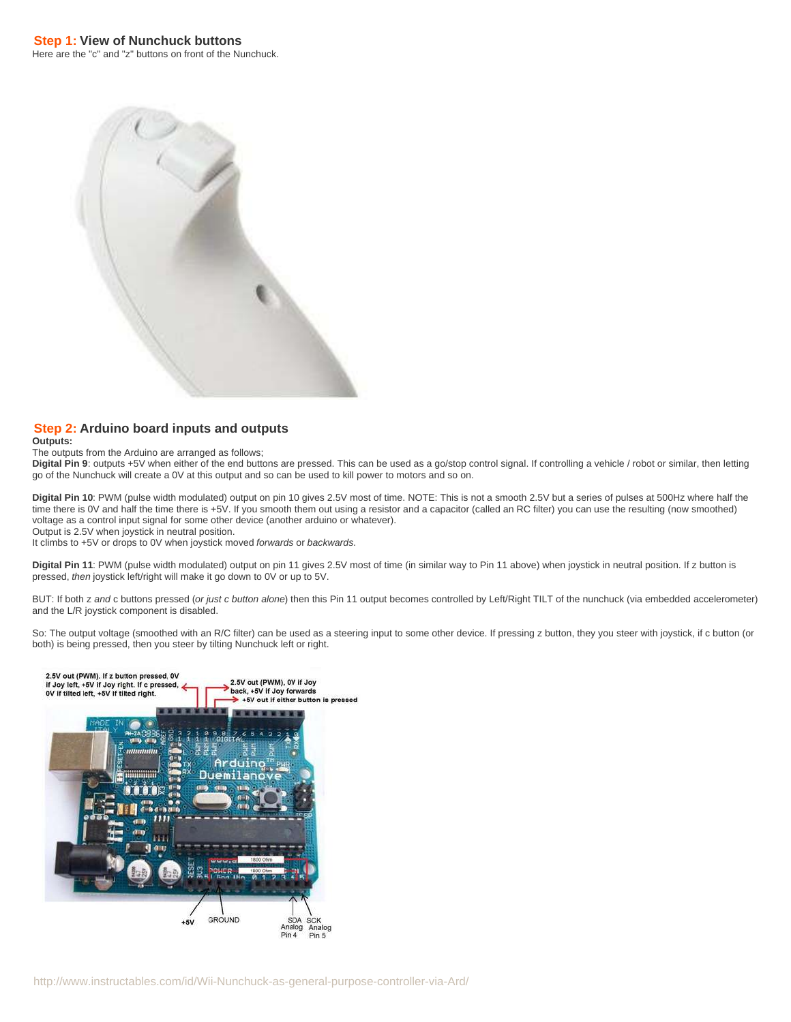<span id="page-2-0"></span>

# **Step 2: Arduino board inputs and outputs**

**Outputs:**

#### The outputs from the Arduino are arranged as follows;

**Digital Pin 9**: outputs +5V when either of the end buttons are pressed. This can be used as a go/stop control signal. If controlling a vehicle / robot or similar, then letting go of the Nunchuck will create a 0V at this output and so can be used to kill power to motors and so on.

**Digital Pin 10**: PWM (pulse width modulated) output on pin 10 gives 2.5V most of time. NOTE: This is not a smooth 2.5V but a series of pulses at 500Hz where half the time there is 0V and half the time there is +5V. If you smooth them out using a resistor and a capacitor (called an RC filter) you can use the resulting (now smoothed) voltage as a control input signal for some other device (another arduino or whatever). Output is 2.5V when joystick in neutral position.

It climbs to +5V or drops to 0V when joystick moved forwards or backwards.

**Digital Pin 11**: PWM (pulse width modulated) output on pin 11 gives 2.5V most of time (in similar way to Pin 11 above) when joystick in neutral position. If z button is pressed, then joystick left/right will make it go down to 0V or up to 5V.

BUT: If both z and c buttons pressed (or just c button alone) then this Pin 11 output becomes controlled by Left/Right TILT of the nunchuck (via embedded accelerometer) and the L/R joystick component is disabled.

So: The output voltage (smoothed with an R/C filter) can be used as a steering input to some other device. If pressing z button, they you steer with joystick, if c button (or both) is being pressed, then you steer by tilting Nunchuck left or right.

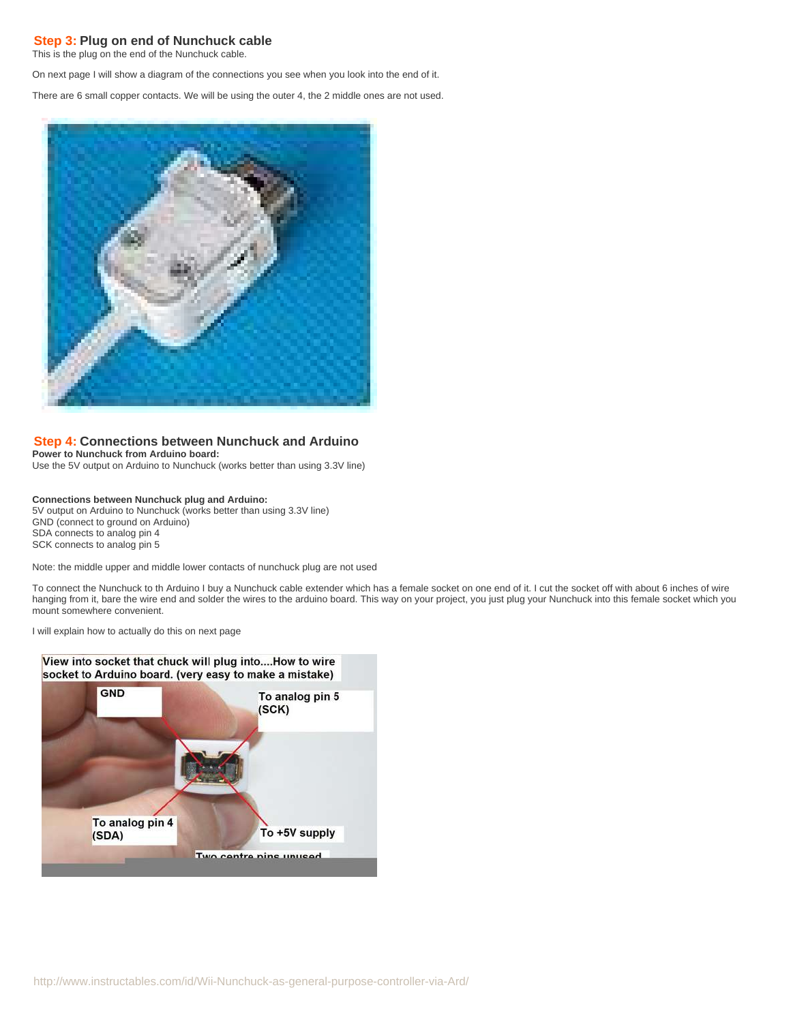# <span id="page-3-0"></span>**Step 3: Plug on end of Nunchuck cable**

This is the plug on the end of the Nunchuck cable.

On next page I will show a diagram of the connections you see when you look into the end of it.

There are 6 small copper contacts. We will be using the outer 4, the 2 middle ones are not used.



### **Step 4: Connections between Nunchuck and Arduino**

**Power to Nunchuck from Arduino board:**

Use the 5V output on Arduino to Nunchuck (works better than using 3.3V line)

#### **Connections between Nunchuck plug and Arduino:**

5V output on Arduino to Nunchuck (works better than using 3.3V line) GND (connect to ground on Arduino) SDA connects to analog pin 4 SCK connects to analog pin 5

Note: the middle upper and middle lower contacts of nunchuck plug are not used

To connect the Nunchuck to th Arduino I buy a Nunchuck cable extender which has a female socket on one end of it. I cut the socket off with about 6 inches of wire hanging from it, bare the wire end and solder the wires to the arduino board. This way on your project, you just plug your Nunchuck into this female socket which you mount somewhere convenient.

I will explain how to actually do this on next page

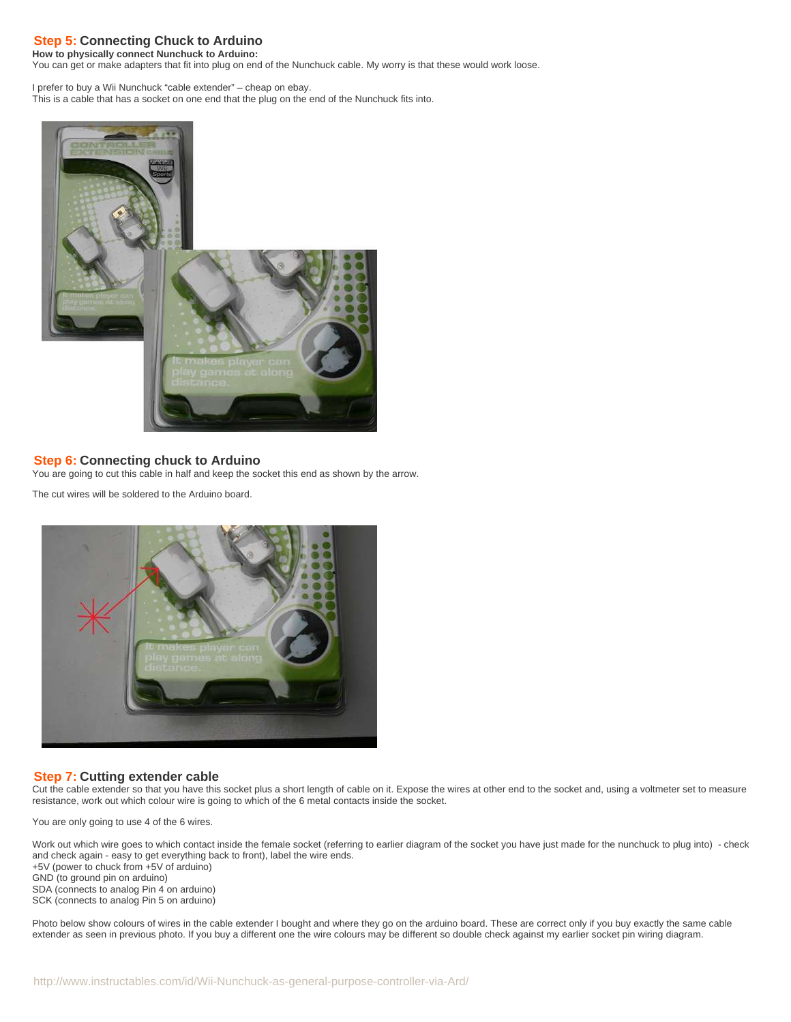# <span id="page-4-0"></span>**Step 5: Connecting Chuck to Arduino**

**How to physically connect Nunchuck to Arduino:**

You can get or make adapters that fit into plug on end of the Nunchuck cable. My worry is that these would work loose.

I prefer to buy a Wii Nunchuck "cable extender" – cheap on ebay. This is a cable that has a socket on one end that the plug on the end of the Nunchuck fits into.



# **Step 6: Connecting chuck to Arduino**

You are going to cut this cable in half and keep the socket this end as shown by the arrow.

The cut wires will be soldered to the Arduino board.



# **Step 7: Cutting extender cable**

Cut the cable extender so that you have this socket plus a short length of cable on it. Expose the wires at other end to the socket and, using a voltmeter set to measure resistance, work out which colour wire is going to which of the 6 metal contacts inside the socket.

You are only going to use 4 of the 6 wires.

Work out which wire goes to which contact inside the female socket (referring to earlier diagram of the socket you have just made for the nunchuck to plug into) - check and check again - easy to get everything back to front), label the wire ends. +5V (power to chuck from +5V of arduino) GND (to ground pin on arduino) SDA (connects to analog Pin 4 on arduino) SCK (connects to analog Pin 5 on arduino)

Photo below show colours of wires in the cable extender I bought and where they go on the arduino board. These are correct only if you buy exactly the same cable extender as seen in previous photo. If you buy a different one the wire colours may be different so double check against my earlier socket pin wiring diagram.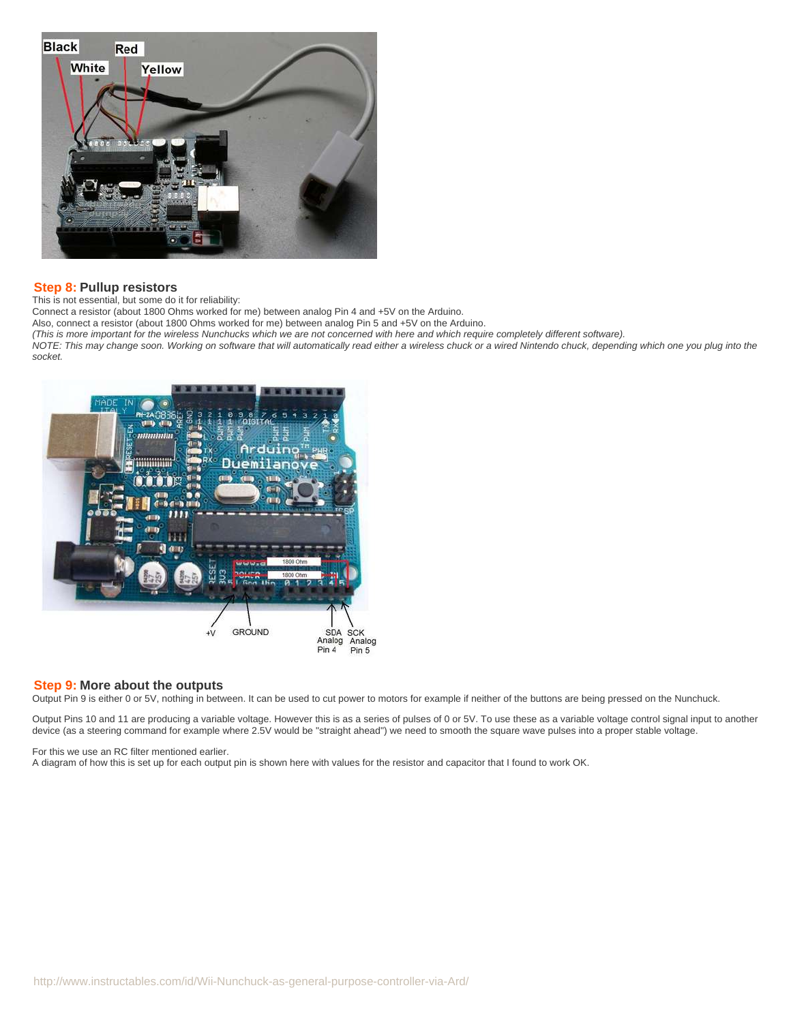<span id="page-5-0"></span>

### **Step 8: Pullup resistors**

This is not essential, but some do it for reliability:

Connect a resistor (about 1800 Ohms worked for me) between analog Pin 4 and +5V on the Arduino.

Also, connect a resistor (about 1800 Ohms worked for me) between analog Pin 5 and +5V on the Arduino.

(This is more important for the wireless Nunchucks which we are not concerned with here and which require completely different software).

NOTE: This may change soon. Working on software that will automatically read either a wireless chuck or a wired Nintendo chuck, depending which one you plug into the socket.



#### **Step 9: More about the outputs**

Output Pin 9 is either 0 or 5V, nothing in between. It can be used to cut power to motors for example if neither of the buttons are being pressed on the Nunchuck.

Output Pins 10 and 11 are producing a variable voltage. However this is as a series of pulses of 0 or 5V. To use these as a variable voltage control signal input to another device (as a steering command for example where 2.5V would be "straight ahead") we need to smooth the square wave pulses into a proper stable voltage.

For this we use an RC filter mentioned earlier.

A diagram of how this is set up for each output pin is shown here with values for the resistor and capacitor that I found to work OK.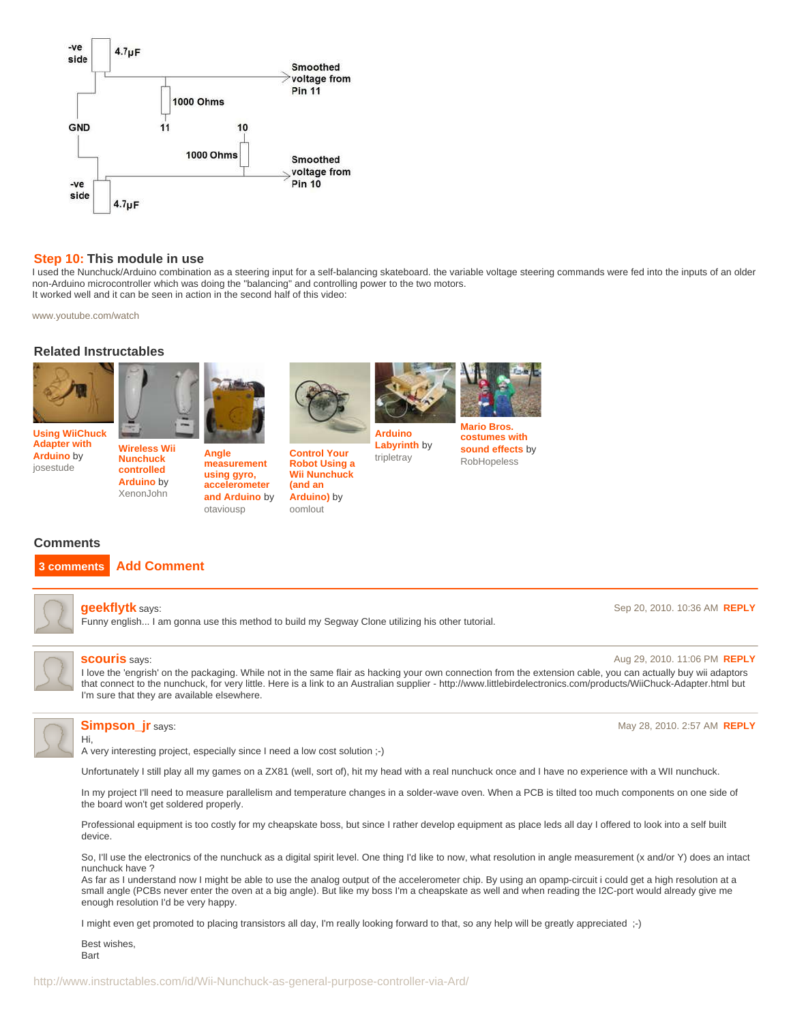<span id="page-6-0"></span>

#### **Step 10: This module in use**

I used the Nunchuck/Arduino combination as a steering input for a self-balancing skateboard. the variable voltage steering commands were fed into the inputs of an older non-Arduino microcontroller which was doing the "balancing" and controlling power to the two motors. It worked well and it can be seen in action in the second half of this video:

> **[Arduino](http://www.instructables.com/id/Arduino-Wii-Nunchuck-Dual-Servo-Controlled-Labyrin/?utm_source=pdf&utm_campaign=related) [Labyrinth](http://www.instructables.com/id/Arduino-Wii-Nunchuck-Dual-Servo-Controlled-Labyrin/?utm_source=pdf&utm_campaign=related)** by [tripletray](http://www.instructables.com/member/tripletray/?utm_source=pdf&utm_campaign=related)

[www.youtube.com/watch](http://www.youtube.com/watch?v=7UKxuVliaIA)

### **Related Instructables**





**[Adapter with](http://www.instructables.com/id/Using-WiiChuck-Adapter-with-Arduino/?utm_source=pdf&utm_campaign=related) [Arduino](http://www.instructables.com/id/Using-WiiChuck-Adapter-with-Arduino/?utm_source=pdf&utm_campaign=related)** by [josestude](http://www.instructables.com/member/josestude/?utm_source=pdf&utm_campaign=related)

**[Wireless Wii](http://www.instructables.com/id/Wireless-Wii-Nunchuck-control-of-Arduino-projects/?utm_source=pdf&utm_campaign=related) [Nunchuck](http://www.instructables.com/id/Wireless-Wii-Nunchuck-control-of-Arduino-projects/?utm_source=pdf&utm_campaign=related) [controlled](http://www.instructables.com/id/Wireless-Wii-Nunchuck-control-of-Arduino-projects/?utm_source=pdf&utm_campaign=related) [Arduino](http://www.instructables.com/id/Wireless-Wii-Nunchuck-control-of-Arduino-projects/?utm_source=pdf&utm_campaign=related)** by [XenonJohn](http://www.instructables.com/member/XenonJohn/?utm_source=pdf&utm_campaign=related)



**[Angle](http://www.instructables.com/id/Angle-measurement-using-gyro-accelerometer-and-Ar/?utm_source=pdf&utm_campaign=related) [measurement](http://www.instructables.com/id/Angle-measurement-using-gyro-accelerometer-and-Ar/?utm_source=pdf&utm_campaign=related) [using gyro,](http://www.instructables.com/id/Angle-measurement-using-gyro-accelerometer-and-Ar/?utm_source=pdf&utm_campaign=related) [accelerometer](http://www.instructables.com/id/Angle-measurement-using-gyro-accelerometer-and-Ar/?utm_source=pdf&utm_campaign=related) [and Arduino](http://www.instructables.com/id/Angle-measurement-using-gyro-accelerometer-and-Ar/?utm_source=pdf&utm_campaign=related)** by

[otaviousp](http://www.instructables.com/member/otaviousp/?utm_source=pdf&utm_campaign=related)



**[Control Your](http://www.instructables.com/id/How-to-Control-Your-Robot-Using-a-Wii-Nunchuck-an/?utm_source=pdf&utm_campaign=related) [Robot Using a](http://www.instructables.com/id/How-to-Control-Your-Robot-Using-a-Wii-Nunchuck-an/?utm_source=pdf&utm_campaign=related) [Wii Nunchuck](http://www.instructables.com/id/How-to-Control-Your-Robot-Using-a-Wii-Nunchuck-an/?utm_source=pdf&utm_campaign=related) [\(and an](http://www.instructables.com/id/How-to-Control-Your-Robot-Using-a-Wii-Nunchuck-an/?utm_source=pdf&utm_campaign=related) [Arduino\)](http://www.instructables.com/id/How-to-Control-Your-Robot-Using-a-Wii-Nunchuck-an/?utm_source=pdf&utm_campaign=related)** by [oomlout](http://www.instructables.com/member/oomlout/?utm_source=pdf&utm_campaign=related)



**[costumes with](http://www.instructables.com/id/Mario-Bros-costumes-with-sound-effects/?utm_source=pdf&utm_campaign=related) [sound effects](http://www.instructables.com/id/Mario-Bros-costumes-with-sound-effects/?utm_source=pdf&utm_campaign=related)** by [RobHopeless](http://www.instructables.com/member/RobHopeless/?utm_source=pdf&utm_campaign=related)

# **Comments**

# **3 comments [Add Comment](http://www.instructables.com/id/Wii-Nunchuck-as-general-purpose-controller-via-Ard/?utm_source=pdf&utm_campaign=comments#comments)**



#### **[geekflytk](http://www.instructables.com/member/geekflytk/?utm_source=pdf&utm_campaign=comments)** says: Sep 20, 2010. 10:36 AM **[REPLY](http://www.instructables.com/id/Wii-Nunchuck-as-general-purpose-controller-via-Ard/?utm_source=pdf&utm_campaign=comments#DISCUSS)**

Funny english... I am gonna use this method to build my Segway Clone utilizing his other tutorial.



**[scouris](http://www.instructables.com/member/scouris/?utm_source=pdf&utm_campaign=comments)** says: Aug 29, 2010. 11:06 PM **[REPLY](http://www.instructables.com/id/Wii-Nunchuck-as-general-purpose-controller-via-Ard/?utm_source=pdf&utm_campaign=comments#DISCUSS)**

I love the 'engrish' on the packaging. While not in the same flair as hacking your own connection from the extension cable, you can actually buy wii adaptors that connect to the nunchuck, for very little. Here is a link to an Australian supplier - http://www.littlebirdelectronics.com/products/WiiChuck-Adapter.html but I'm sure that they are available elsewhere.



Hi,

A very interesting project, especially since I need a low cost solution ;-)

Unfortunately I still play all my games on a ZX81 (well, sort of), hit my head with a real nunchuck once and I have no experience with a WII nunchuck.

In my project I'll need to measure parallelism and temperature changes in a solder-wave oven. When a PCB is tilted too much components on one side of the board won't get soldered properly.

Professional equipment is too costly for my cheapskate boss, but since I rather develop equipment as place leds all day I offered to look into a self built device.

So, I'll use the electronics of the nunchuck as a digital spirit level. One thing I'd like to now, what resolution in angle measurement (x and/or Y) does an intact nunchuck have ?

As far as I understand now I might be able to use the analog output of the accelerometer chip. By using an opamp-circuit i could get a high resolution at a small angle (PCBs never enter the oven at a big angle). But like my boss I'm a cheapskate as well and when reading the I2C-port would already give me enough resolution I'd be very happy.

I might even get promoted to placing transistors all day, I'm really looking forward to that, so any help will be greatly appreciated ;-)

Best wishes, **Bart** 

**[Simpson\\_jr](http://www.instructables.com/member/Simpson_jr/?utm_source=pdf&utm_campaign=comments)** says: May 28, 2010. 2:57 AM **[REPLY](http://www.instructables.com/id/Wii-Nunchuck-as-general-purpose-controller-via-Ard/?utm_source=pdf&utm_campaign=comments#DISCUSS)**